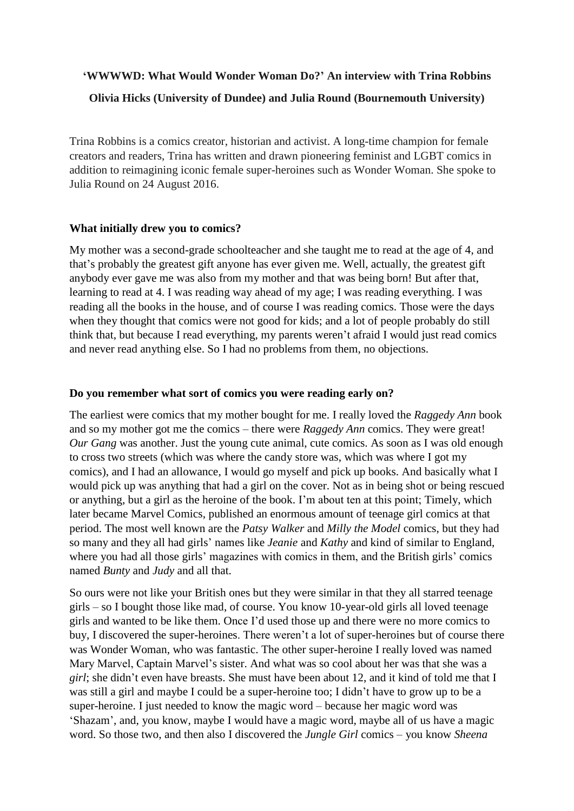# **'WWWWD: What Would Wonder Woman Do?' An interview with Trina Robbins Olivia Hicks (University of Dundee) and Julia Round (Bournemouth University)**

Trina Robbins is a comics creator, historian and activist. A long-time champion for female creators and readers, Trina has written and drawn pioneering feminist and LGBT comics in addition to reimagining iconic female super-heroines such as Wonder Woman. She spoke to Julia Round on 24 August 2016.

#### **What initially drew you to comics?**

My mother was a second-grade schoolteacher and she taught me to read at the age of 4, and that's probably the greatest gift anyone has ever given me. Well, actually, the greatest gift anybody ever gave me was also from my mother and that was being born! But after that, learning to read at 4. I was reading way ahead of my age; I was reading everything. I was reading all the books in the house, and of course I was reading comics. Those were the days when they thought that comics were not good for kids; and a lot of people probably do still think that, but because I read everything, my parents weren't afraid I would just read comics and never read anything else. So I had no problems from them, no objections.

#### **Do you remember what sort of comics you were reading early on?**

The earliest were comics that my mother bought for me. I really loved the *Raggedy Ann* book and so my mother got me the comics – there were *Raggedy Ann* comics. They were great! *Our Gang* was another. Just the young cute animal, cute comics. As soon as I was old enough to cross two streets (which was where the candy store was, which was where I got my comics), and I had an allowance, I would go myself and pick up books. And basically what I would pick up was anything that had a girl on the cover. Not as in being shot or being rescued or anything, but a girl as the heroine of the book. I'm about ten at this point; Timely, which later became Marvel Comics, published an enormous amount of teenage girl comics at that period. The most well known are the *Patsy Walker* and *Milly the Model* comics, but they had so many and they all had girls' names like *Jeanie* and *Kathy* and kind of similar to England, where you had all those girls' magazines with comics in them, and the British girls' comics named *Bunty* and *Judy* and all that.

So ours were not like your British ones but they were similar in that they all starred teenage girls – so I bought those like mad, of course. You know 10-year-old girls all loved teenage girls and wanted to be like them. Once I'd used those up and there were no more comics to buy, I discovered the super-heroines. There weren't a lot of super-heroines but of course there was Wonder Woman, who was fantastic. The other super-heroine I really loved was named Mary Marvel, Captain Marvel's sister. And what was so cool about her was that she was a *girl*; she didn't even have breasts. She must have been about 12, and it kind of told me that I was still a girl and maybe I could be a super-heroine too; I didn't have to grow up to be a super-heroine. I just needed to know the magic word – because her magic word was 'Shazam', and, you know, maybe I would have a magic word, maybe all of us have a magic word. So those two, and then also I discovered the *Jungle Girl* comics – you know *Sheena*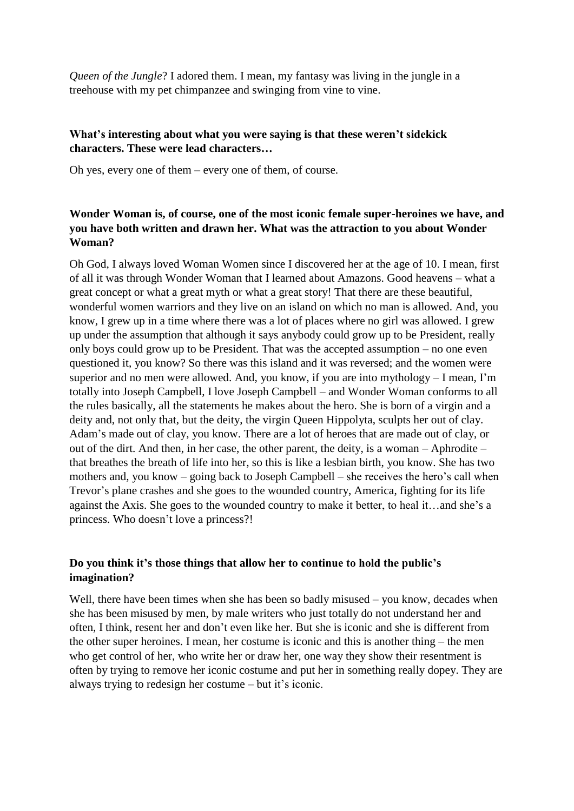*Queen of the Jungle*? I adored them. I mean, my fantasy was living in the jungle in a treehouse with my pet chimpanzee and swinging from vine to vine.

# **What's interesting about what you were saying is that these weren't sidekick characters. These were lead characters…**

Oh yes, every one of them – every one of them, of course.

## **Wonder Woman is, of course, one of the most iconic female super-heroines we have, and you have both written and drawn her. What was the attraction to you about Wonder Woman?**

Oh God, I always loved Woman Women since I discovered her at the age of 10. I mean, first of all it was through Wonder Woman that I learned about Amazons. Good heavens – what a great concept or what a great myth or what a great story! That there are these beautiful, wonderful women warriors and they live on an island on which no man is allowed. And, you know, I grew up in a time where there was a lot of places where no girl was allowed. I grew up under the assumption that although it says anybody could grow up to be President, really only boys could grow up to be President. That was the accepted assumption – no one even questioned it, you know? So there was this island and it was reversed; and the women were superior and no men were allowed. And, you know, if you are into mythology – I mean, I'm totally into Joseph Campbell, I love Joseph Campbell – and Wonder Woman conforms to all the rules basically, all the statements he makes about the hero. She is born of a virgin and a deity and, not only that, but the deity, the virgin Queen Hippolyta, sculpts her out of clay. Adam's made out of clay, you know. There are a lot of heroes that are made out of clay, or out of the dirt. And then, in her case, the other parent, the deity, is a woman – Aphrodite – that breathes the breath of life into her, so this is like a lesbian birth, you know. She has two mothers and, you know – going back to Joseph Campbell – she receives the hero's call when Trevor's plane crashes and she goes to the wounded country, America, fighting for its life against the Axis. She goes to the wounded country to make it better, to heal it…and she's a princess. Who doesn't love a princess?!

## **Do you think it's those things that allow her to continue to hold the public's imagination?**

Well, there have been times when she has been so badly misused – you know, decades when she has been misused by men, by male writers who just totally do not understand her and often, I think, resent her and don't even like her. But she is iconic and she is different from the other super heroines. I mean, her costume is iconic and this is another thing – the men who get control of her, who write her or draw her, one way they show their resentment is often by trying to remove her iconic costume and put her in something really dopey. They are always trying to redesign her costume – but it's iconic.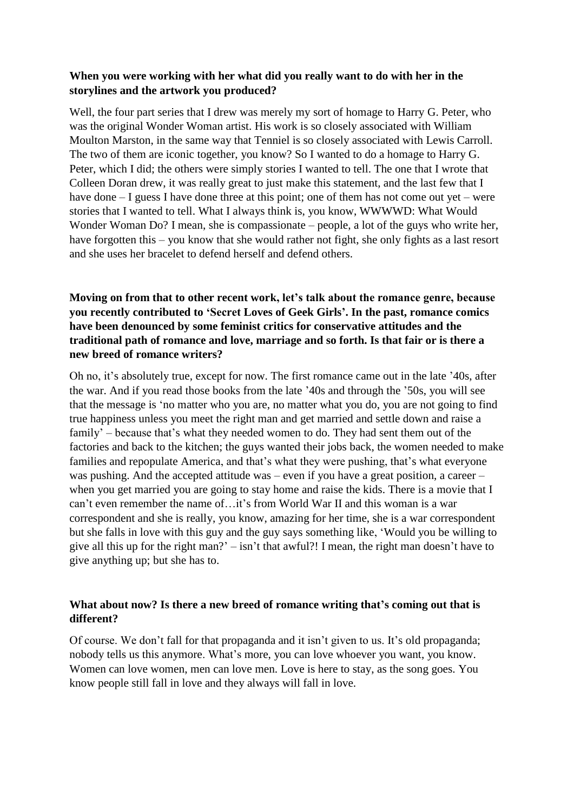#### **When you were working with her what did you really want to do with her in the storylines and the artwork you produced?**

Well, the four part series that I drew was merely my sort of homage to Harry G. Peter, who was the original Wonder Woman artist. His work is so closely associated with William Moulton Marston, in the same way that Tenniel is so closely associated with Lewis Carroll. The two of them are iconic together, you know? So I wanted to do a homage to Harry G. Peter, which I did; the others were simply stories I wanted to tell. The one that I wrote that Colleen Doran drew, it was really great to just make this statement, and the last few that I have done – I guess I have done three at this point; one of them has not come out yet – were stories that I wanted to tell. What I always think is, you know, WWWWD: What Would Wonder Woman Do? I mean, she is compassionate – people, a lot of the guys who write her, have forgotten this – you know that she would rather not fight, she only fights as a last resort and she uses her bracelet to defend herself and defend others.

## **Moving on from that to other recent work, let's talk about the romance genre, because you recently contributed to 'Secret Loves of Geek Girls'. In the past, romance comics have been denounced by some feminist critics for conservative attitudes and the traditional path of romance and love, marriage and so forth. Is that fair or is there a new breed of romance writers?**

Oh no, it's absolutely true, except for now. The first romance came out in the late '40s, after the war. And if you read those books from the late '40s and through the '50s, you will see that the message is 'no matter who you are, no matter what you do, you are not going to find true happiness unless you meet the right man and get married and settle down and raise a family' – because that's what they needed women to do. They had sent them out of the factories and back to the kitchen; the guys wanted their jobs back, the women needed to make families and repopulate America, and that's what they were pushing, that's what everyone was pushing. And the accepted attitude was – even if you have a great position, a career – when you get married you are going to stay home and raise the kids. There is a movie that I can't even remember the name of…it's from World War II and this woman is a war correspondent and she is really, you know, amazing for her time, she is a war correspondent but she falls in love with this guy and the guy says something like, 'Would you be willing to give all this up for the right man?' – isn't that awful?! I mean, the right man doesn't have to give anything up; but she has to.

## **What about now? Is there a new breed of romance writing that's coming out that is different?**

Of course. We don't fall for that propaganda and it isn't given to us. It's old propaganda; nobody tells us this anymore. What's more, you can love whoever you want, you know. Women can love women, men can love men. Love is here to stay, as the song goes. You know people still fall in love and they always will fall in love.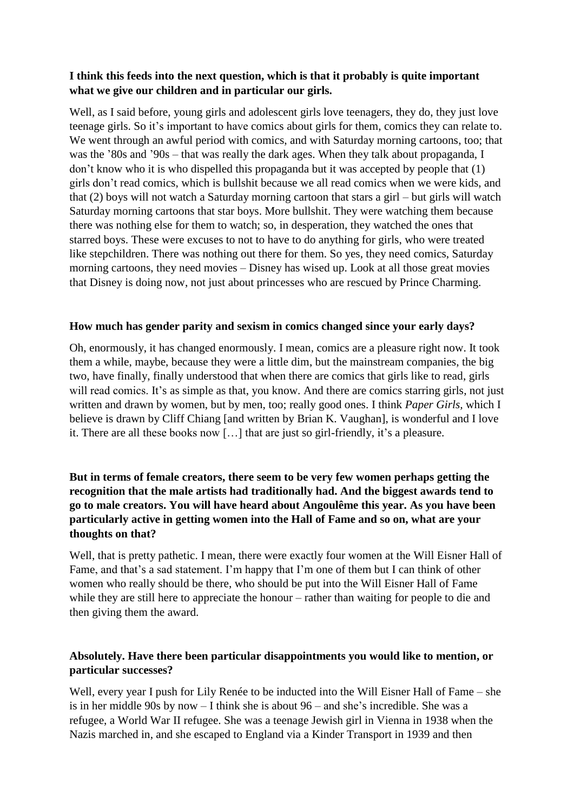### **I think this feeds into the next question, which is that it probably is quite important what we give our children and in particular our girls.**

Well, as I said before, young girls and adolescent girls love teenagers, they do, they just love teenage girls. So it's important to have comics about girls for them, comics they can relate to. We went through an awful period with comics, and with Saturday morning cartoons, too; that was the '80s and '90s – that was really the dark ages. When they talk about propaganda, I don't know who it is who dispelled this propaganda but it was accepted by people that (1) girls don't read comics, which is bullshit because we all read comics when we were kids, and that (2) boys will not watch a Saturday morning cartoon that stars a girl – but girls will watch Saturday morning cartoons that star boys. More bullshit. They were watching them because there was nothing else for them to watch; so, in desperation, they watched the ones that starred boys. These were excuses to not to have to do anything for girls, who were treated like stepchildren. There was nothing out there for them. So yes, they need comics, Saturday morning cartoons, they need movies – Disney has wised up. Look at all those great movies that Disney is doing now, not just about princesses who are rescued by Prince Charming.

#### **How much has gender parity and sexism in comics changed since your early days?**

Oh, enormously, it has changed enormously. I mean, comics are a pleasure right now. It took them a while, maybe, because they were a little dim, but the mainstream companies, the big two, have finally, finally understood that when there are comics that girls like to read, girls will read comics. It's as simple as that, you know. And there are comics starring girls, not just written and drawn by women, but by men, too; really good ones. I think *Paper Girls,* which I believe is drawn by Cliff Chiang [and written by Brian K. Vaughan], is wonderful and I love it. There are all these books now […] that are just so girl-friendly, it's a pleasure.

# **But in terms of female creators, there seem to be very few women perhaps getting the recognition that the male artists had traditionally had. And the biggest awards tend to go to male creators. You will have heard about Angoulême this year. As you have been particularly active in getting women into the Hall of Fame and so on, what are your thoughts on that?**

Well, that is pretty pathetic. I mean, there were exactly four women at the Will Eisner Hall of Fame, and that's a sad statement. I'm happy that I'm one of them but I can think of other women who really should be there, who should be put into the Will Eisner Hall of Fame while they are still here to appreciate the honour – rather than waiting for people to die and then giving them the award.

## **Absolutely. Have there been particular disappointments you would like to mention, or particular successes?**

Well, every year I push for Lily Renée to be inducted into the Will Eisner Hall of Fame – she is in her middle 90s by now – I think she is about 96 – and she's incredible. She was a refugee, a World War II refugee. She was a teenage Jewish girl in Vienna in 1938 when the Nazis marched in, and she escaped to England via a Kinder Transport in 1939 and then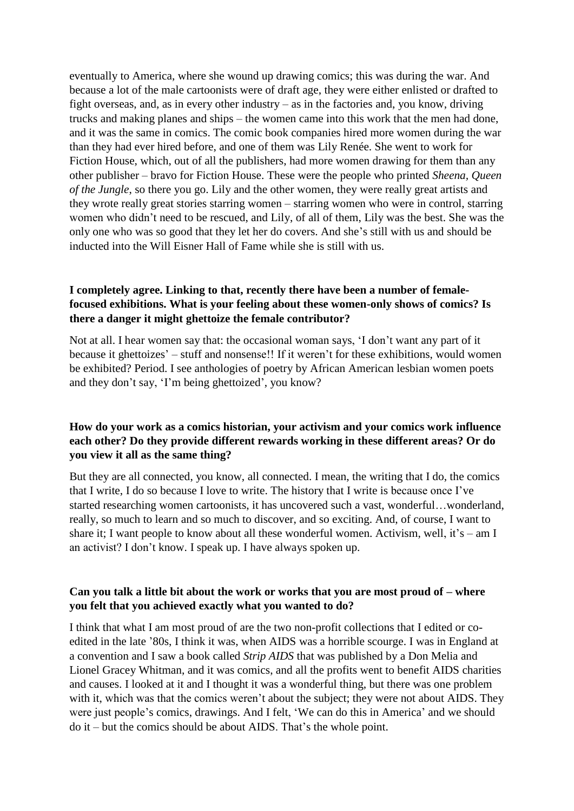eventually to America, where she wound up drawing comics; this was during the war. And because a lot of the male cartoonists were of draft age, they were either enlisted or drafted to fight overseas, and, as in every other industry – as in the factories and, you know, driving trucks and making planes and ships – the women came into this work that the men had done, and it was the same in comics. The comic book companies hired more women during the war than they had ever hired before, and one of them was Lily Renée. She went to work for Fiction House, which, out of all the publishers, had more women drawing for them than any other publisher – bravo for Fiction House. These were the people who printed *Sheena, Queen of the Jungle*, so there you go. Lily and the other women, they were really great artists and they wrote really great stories starring women – starring women who were in control, starring women who didn't need to be rescued, and Lily, of all of them, Lily was the best. She was the only one who was so good that they let her do covers. And she's still with us and should be inducted into the Will Eisner Hall of Fame while she is still with us.

#### **I completely agree. Linking to that, recently there have been a number of femalefocused exhibitions. What is your feeling about these women-only shows of comics? Is there a danger it might ghettoize the female contributor?**

Not at all. I hear women say that: the occasional woman says, 'I don't want any part of it because it ghettoizes' – stuff and nonsense!! If it weren't for these exhibitions, would women be exhibited? Period. I see anthologies of poetry by African American lesbian women poets and they don't say, 'I'm being ghettoized', you know?

## **How do your work as a comics historian, your activism and your comics work influence each other? Do they provide different rewards working in these different areas? Or do you view it all as the same thing?**

But they are all connected, you know, all connected. I mean, the writing that I do, the comics that I write, I do so because I love to write. The history that I write is because once I've started researching women cartoonists, it has uncovered such a vast, wonderful…wonderland, really, so much to learn and so much to discover, and so exciting. And, of course, I want to share it; I want people to know about all these wonderful women. Activism, well, it's – am I an activist? I don't know. I speak up. I have always spoken up.

#### **Can you talk a little bit about the work or works that you are most proud of – where you felt that you achieved exactly what you wanted to do?**

I think that what I am most proud of are the two non-profit collections that I edited or coedited in the late '80s, I think it was, when AIDS was a horrible scourge. I was in England at a convention and I saw a book called *Strip AIDS* that was published by a Don Melia and Lionel Gracey Whitman, and it was comics, and all the profits went to benefit AIDS charities and causes. I looked at it and I thought it was a wonderful thing, but there was one problem with it, which was that the comics weren't about the subject; they were not about AIDS. They were just people's comics, drawings. And I felt, 'We can do this in America' and we should do it – but the comics should be about AIDS. That's the whole point.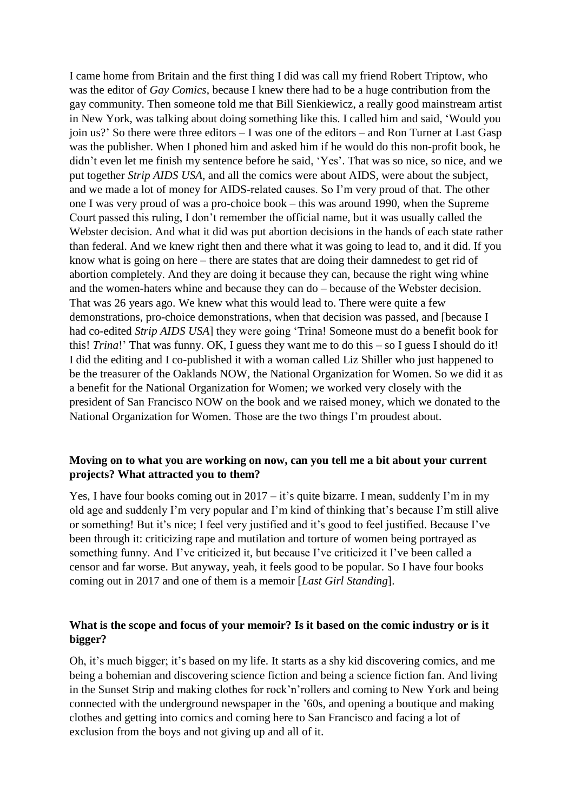I came home from Britain and the first thing I did was call my friend Robert Triptow, who was the editor of *Gay Comics*, because I knew there had to be a huge contribution from the gay community. Then someone told me that Bill Sienkiewicz, a really good mainstream artist in New York, was talking about doing something like this. I called him and said, 'Would you join us?' So there were three editors – I was one of the editors – and Ron Turner at Last Gasp was the publisher. When I phoned him and asked him if he would do this non-profit book, he didn't even let me finish my sentence before he said, 'Yes'. That was so nice, so nice, and we put together *Strip AIDS USA*, and all the comics were about AIDS, were about the subject, and we made a lot of money for AIDS-related causes. So I'm very proud of that. The other one I was very proud of was a pro-choice book – this was around 1990, when the Supreme Court passed this ruling, I don't remember the official name, but it was usually called the Webster decision. And what it did was put abortion decisions in the hands of each state rather than federal. And we knew right then and there what it was going to lead to, and it did. If you know what is going on here – there are states that are doing their damnedest to get rid of abortion completely. And they are doing it because they can, because the right wing whine and the women-haters whine and because they can do – because of the Webster decision. That was 26 years ago. We knew what this would lead to. There were quite a few demonstrations, pro-choice demonstrations, when that decision was passed, and [because I had co-edited *Strip AIDS USA*] they were going 'Trina! Someone must do a benefit book for this! *Trina*!' That was funny. OK, I guess they want me to do this – so I guess I should do it! I did the editing and I co-published it with a woman called Liz Shiller who just happened to be the treasurer of the Oaklands NOW, the National Organization for Women. So we did it as a benefit for the National Organization for Women; we worked very closely with the president of San Francisco NOW on the book and we raised money, which we donated to the National Organization for Women. Those are the two things I'm proudest about.

#### **Moving on to what you are working on now, can you tell me a bit about your current projects? What attracted you to them?**

Yes, I have four books coming out in  $2017 - it$ 's quite bizarre. I mean, suddenly I'm in my old age and suddenly I'm very popular and I'm kind of thinking that's because I'm still alive or something! But it's nice; I feel very justified and it's good to feel justified. Because I've been through it: criticizing rape and mutilation and torture of women being portrayed as something funny. And I've criticized it, but because I've criticized it I've been called a censor and far worse. But anyway, yeah, it feels good to be popular. So I have four books coming out in 2017 and one of them is a memoir [*Last Girl Standing*].

## **What is the scope and focus of your memoir? Is it based on the comic industry or is it bigger?**

Oh, it's much bigger; it's based on my life. It starts as a shy kid discovering comics, and me being a bohemian and discovering science fiction and being a science fiction fan. And living in the Sunset Strip and making clothes for rock'n'rollers and coming to New York and being connected with the underground newspaper in the '60s, and opening a boutique and making clothes and getting into comics and coming here to San Francisco and facing a lot of exclusion from the boys and not giving up and all of it.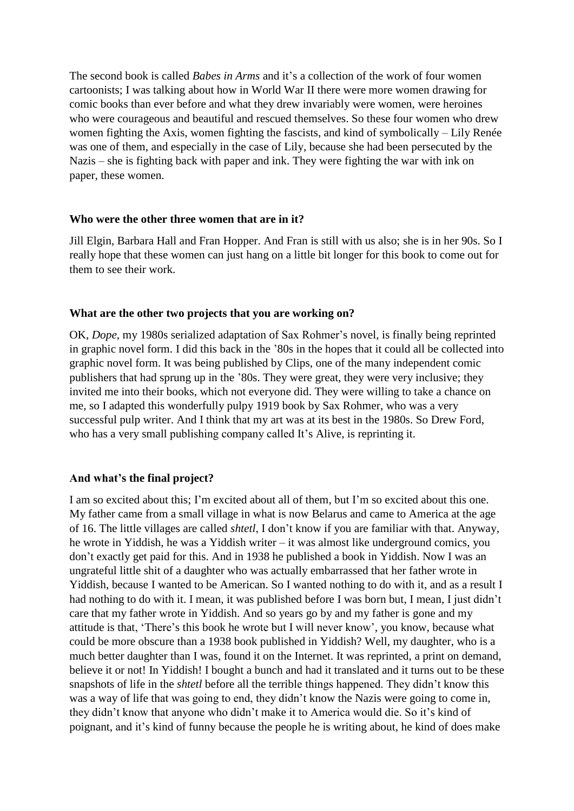The second book is called *Babes in Arms* and it's a collection of the work of four women cartoonists; I was talking about how in World War II there were more women drawing for comic books than ever before and what they drew invariably were women, were heroines who were courageous and beautiful and rescued themselves. So these four women who drew women fighting the Axis, women fighting the fascists, and kind of symbolically – Lily Renée was one of them, and especially in the case of Lily, because she had been persecuted by the Nazis – she is fighting back with paper and ink. They were fighting the war with ink on paper, these women.

#### **Who were the other three women that are in it?**

Jill Elgin, Barbara Hall and Fran Hopper. And Fran is still with us also; she is in her 90s. So I really hope that these women can just hang on a little bit longer for this book to come out for them to see their work.

#### **What are the other two projects that you are working on?**

OK, *Dope*, my 1980s serialized adaptation of Sax Rohmer's novel, is finally being reprinted in graphic novel form. I did this back in the '80s in the hopes that it could all be collected into graphic novel form. It was being published by Clips, one of the many independent comic publishers that had sprung up in the '80s. They were great, they were very inclusive; they invited me into their books, which not everyone did. They were willing to take a chance on me, so I adapted this wonderfully pulpy 1919 book by Sax Rohmer, who was a very successful pulp writer. And I think that my art was at its best in the 1980s. So Drew Ford, who has a very small publishing company called It's Alive, is reprinting it.

#### **And what's the final project?**

I am so excited about this; I'm excited about all of them, but I'm so excited about this one. My father came from a small village in what is now Belarus and came to America at the age of 16. The little villages are called *shtetl*, I don't know if you are familiar with that. Anyway, he wrote in Yiddish, he was a Yiddish writer – it was almost like underground comics, you don't exactly get paid for this. And in 1938 he published a book in Yiddish. Now I was an ungrateful little shit of a daughter who was actually embarrassed that her father wrote in Yiddish, because I wanted to be American. So I wanted nothing to do with it, and as a result I had nothing to do with it. I mean, it was published before I was born but, I mean, I just didn't care that my father wrote in Yiddish. And so years go by and my father is gone and my attitude is that, 'There's this book he wrote but I will never know', you know, because what could be more obscure than a 1938 book published in Yiddish? Well, my daughter, who is a much better daughter than I was, found it on the Internet. It was reprinted, a print on demand, believe it or not! In Yiddish! I bought a bunch and had it translated and it turns out to be these snapshots of life in the *shtetl* before all the terrible things happened. They didn't know this was a way of life that was going to end, they didn't know the Nazis were going to come in, they didn't know that anyone who didn't make it to America would die. So it's kind of poignant, and it's kind of funny because the people he is writing about, he kind of does make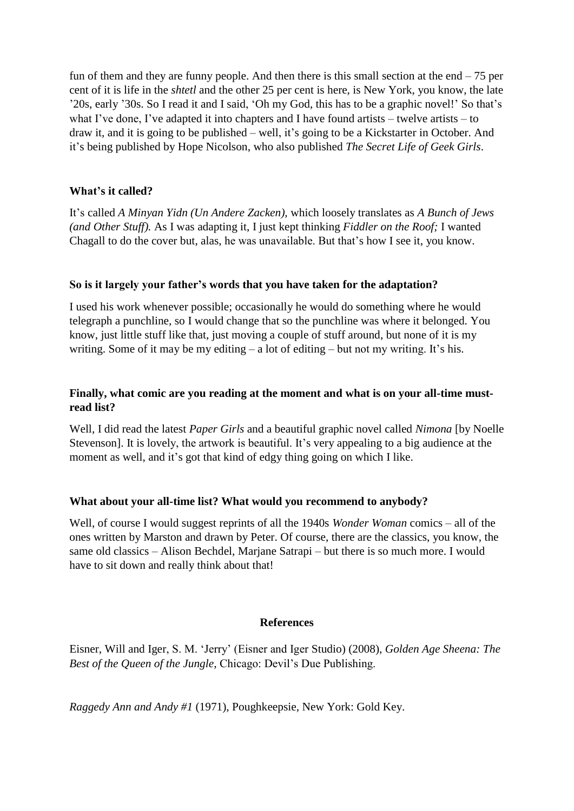fun of them and they are funny people. And then there is this small section at the end  $-75$  per cent of it is life in the *shtetl* and the other 25 per cent is here, is New York, you know, the late '20s, early '30s. So I read it and I said, 'Oh my God, this has to be a graphic novel!' So that's what I've done, I've adapted it into chapters and I have found artists – twelve artists – to draw it, and it is going to be published – well, it's going to be a Kickstarter in October. And it's being published by Hope Nicolson, who also published *The Secret Life of Geek Girls*.

#### **What's it called?**

It's called *A Minyan Yidn (Un Andere Zacken)*, which loosely translates as *A Bunch of Jews (and Other Stuff).* As I was adapting it, I just kept thinking *Fiddler on the Roof;* I wanted Chagall to do the cover but, alas, he was unavailable. But that's how I see it, you know.

#### **So is it largely your father's words that you have taken for the adaptation?**

I used his work whenever possible; occasionally he would do something where he would telegraph a punchline, so I would change that so the punchline was where it belonged. You know, just little stuff like that, just moving a couple of stuff around, but none of it is my writing. Some of it may be my editing  $- a$  lot of editing  $- b$ ut not my writing. It's his.

#### **Finally, what comic are you reading at the moment and what is on your all-time mustread list?**

Well, I did read the latest *Paper Girls* and a beautiful graphic novel called *Nimona* [by Noelle Stevenson]. It is lovely, the artwork is beautiful. It's very appealing to a big audience at the moment as well, and it's got that kind of edgy thing going on which I like.

#### **What about your all-time list? What would you recommend to anybody?**

Well, of course I would suggest reprints of all the 1940s *Wonder Woman* comics *–* all of the ones written by Marston and drawn by Peter. Of course, there are the classics, you know, the same old classics – Alison Bechdel, Marjane Satrapi – but there is so much more. I would have to sit down and really think about that!

#### **References**

Eisner, Will and Iger, S. M. 'Jerry' (Eisner and Iger Studio) (2008), *Golden Age Sheena: The Best of the Queen of the Jungle*, Chicago: Devil's Due Publishing.

*Raggedy Ann and Andy #1* (1971), Poughkeepsie, New York: Gold Key.